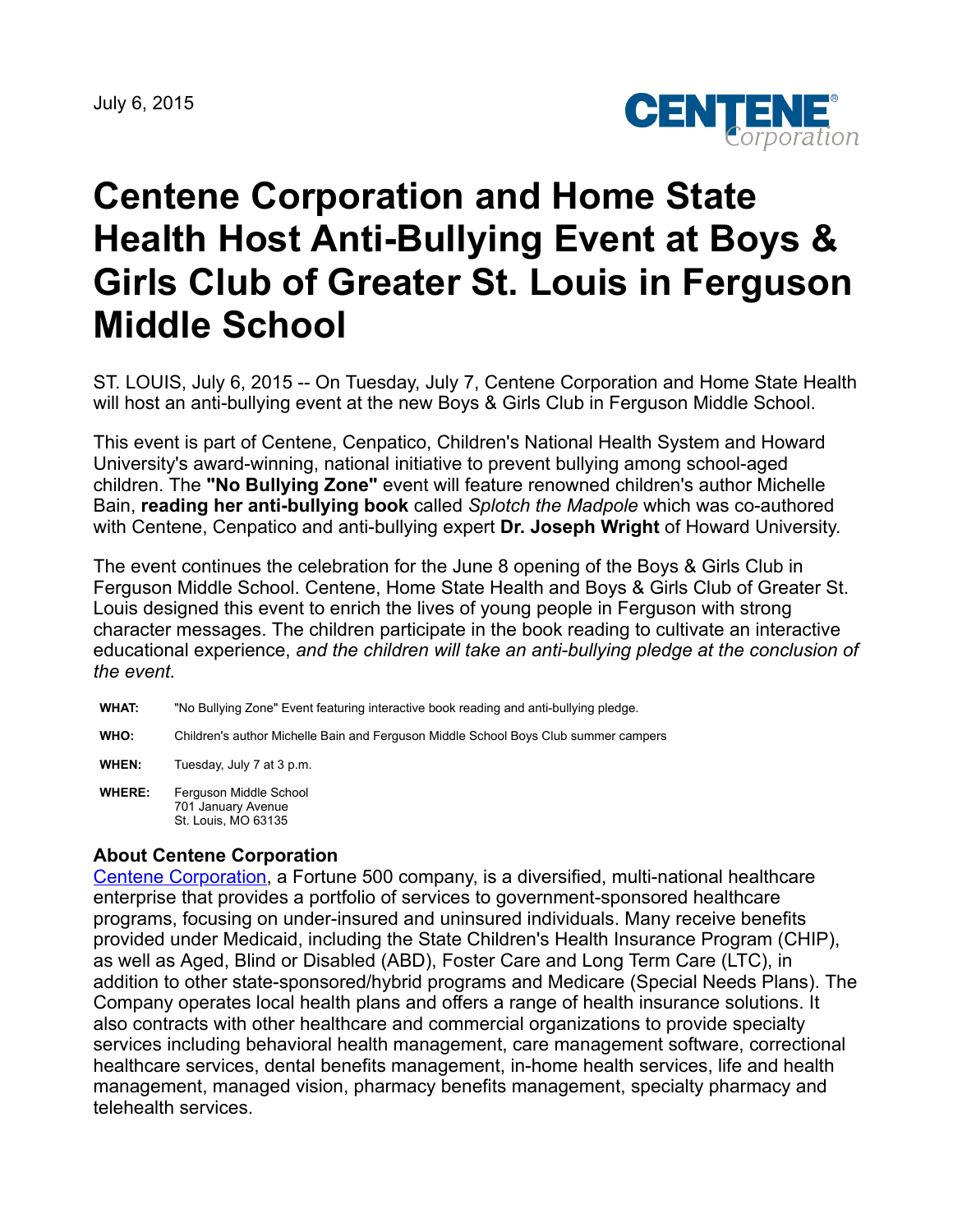July 6, 2015



## **Centene Corporation and Home State Health Host Anti-Bullying Event at Boys & Girls Club of Greater St. Louis in Ferguson Middle School**

ST. LOUIS, July 6, 2015 -- On Tuesday, July 7, Centene Corporation and Home State Health will host an anti-bullying event at the new Boys & Girls Club in Ferguson Middle School.

This event is part of Centene, Cenpatico, Children's National Health System and Howard University's award-winning, national initiative to prevent bullying among school-aged children. The **"No Bullying Zone"** event will feature renowned children's author Michelle Bain, **reading her anti-bullying book** called *Splotch the Madpole* which was co-authored with Centene, Cenpatico and anti-bullying expert **Dr. Joseph Wright** of Howard University.

The event continues the celebration for the June 8 opening of the Boys & Girls Club in Ferguson Middle School. Centene, Home State Health and Boys & Girls Club of Greater St. Louis designed this event to enrich the lives of young people in Ferguson with strong character messages. The children participate in the book reading to cultivate an interactive educational experience, *and the children will take an anti-bullying pledge at the conclusion of the event.*

- **WHAT:** "No Bullying Zone" Event featuring interactive book reading and anti-bullying pledge.
- **WHO:** Children's author Michelle Bain and Ferguson Middle School Boys Club summer campers
- **WHEN:** Tuesday, July 7 at 3 p.m.
- **WHERE:** Ferguson Middle School 701 January Avenue St. Louis, MO 63135

## **About Centene Corporation**

[Centene Corporation,](http://centene.com/) a Fortune 500 company, is a diversified, multi-national healthcare enterprise that provides a portfolio of services to government-sponsored healthcare programs, focusing on under-insured and uninsured individuals. Many receive benefits provided under Medicaid, including the State Children's Health Insurance Program (CHIP), as well as Aged, Blind or Disabled (ABD), Foster Care and Long Term Care (LTC), in addition to other state-sponsored/hybrid programs and Medicare (Special Needs Plans). The Company operates local health plans and offers a range of health insurance solutions. It also contracts with other healthcare and commercial organizations to provide specialty services including behavioral health management, care management software, correctional healthcare services, dental benefits management, in-home health services, life and health management, managed vision, pharmacy benefits management, specialty pharmacy and telehealth services.